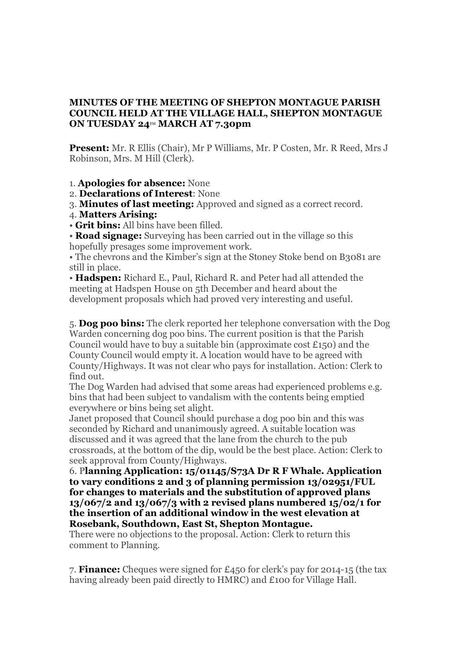## **MINUTES OF THE MEETING OF SHEPTON MONTAGUE PARISH COUNCIL HELD AT THE VILLAGE HALL, SHEPTON MONTAGUE ON TUESDAY 24TH MARCH AT 7.30pm**

**Present:** Mr. R Ellis (Chair), Mr P Williams, Mr. P Costen, Mr. R Reed, Mrs J Robinson, Mrs. M Hill (Clerk).

1. **Apologies for absence:** None

2. **Declarations of Interest**: None

3. **Minutes of last meeting:** Approved and signed as a correct record.

4. **Matters Arising:**

• **Grit bins:** All bins have been filled.

• **Road signage:** Surveying has been carried out in the village so this hopefully presages some improvement work.

• The chevrons and the Kimber's sign at the Stoney Stoke bend on B3081 are still in place.

• **Hadspen:** Richard E., Paul, Richard R. and Peter had all attended the meeting at Hadspen House on 5th December and heard about the development proposals which had proved very interesting and useful.

5. **Dog poo bins:** The clerk reported her telephone conversation with the Dog Warden concerning dog poo bins. The current position is that the Parish Council would have to buy a suitable bin (approximate cost  $£150$ ) and the County Council would empty it. A location would have to be agreed with County/Highways. It was not clear who pays for installation. Action: Clerk to find out.

The Dog Warden had advised that some areas had experienced problems e.g. bins that had been subject to vandalism with the contents being emptied everywhere or bins being set alight.

Janet proposed that Council should purchase a dog poo bin and this was seconded by Richard and unanimously agreed. A suitable location was discussed and it was agreed that the lane from the church to the pub crossroads, at the bottom of the dip, would be the best place. Action: Clerk to seek approval from County/Highways.

6. P**lanning Application: 15/01145/S73A Dr R F Whale. Application to vary conditions 2 and 3 of planning permission 13/02951/FUL for changes to materials and the substitution of approved plans 13/067/2 and 13/067/3 with 2 revised plans numbered 15/02/1 for the insertion of an additional window in the west elevation at Rosebank, Southdown, East St, Shepton Montague.**

There were no objections to the proposal. Action: Clerk to return this comment to Planning.

7. **Finance:** Cheques were signed for £450 for clerk's pay for 2014-15 (the tax having already been paid directly to HMRC) and £100 for Village Hall.